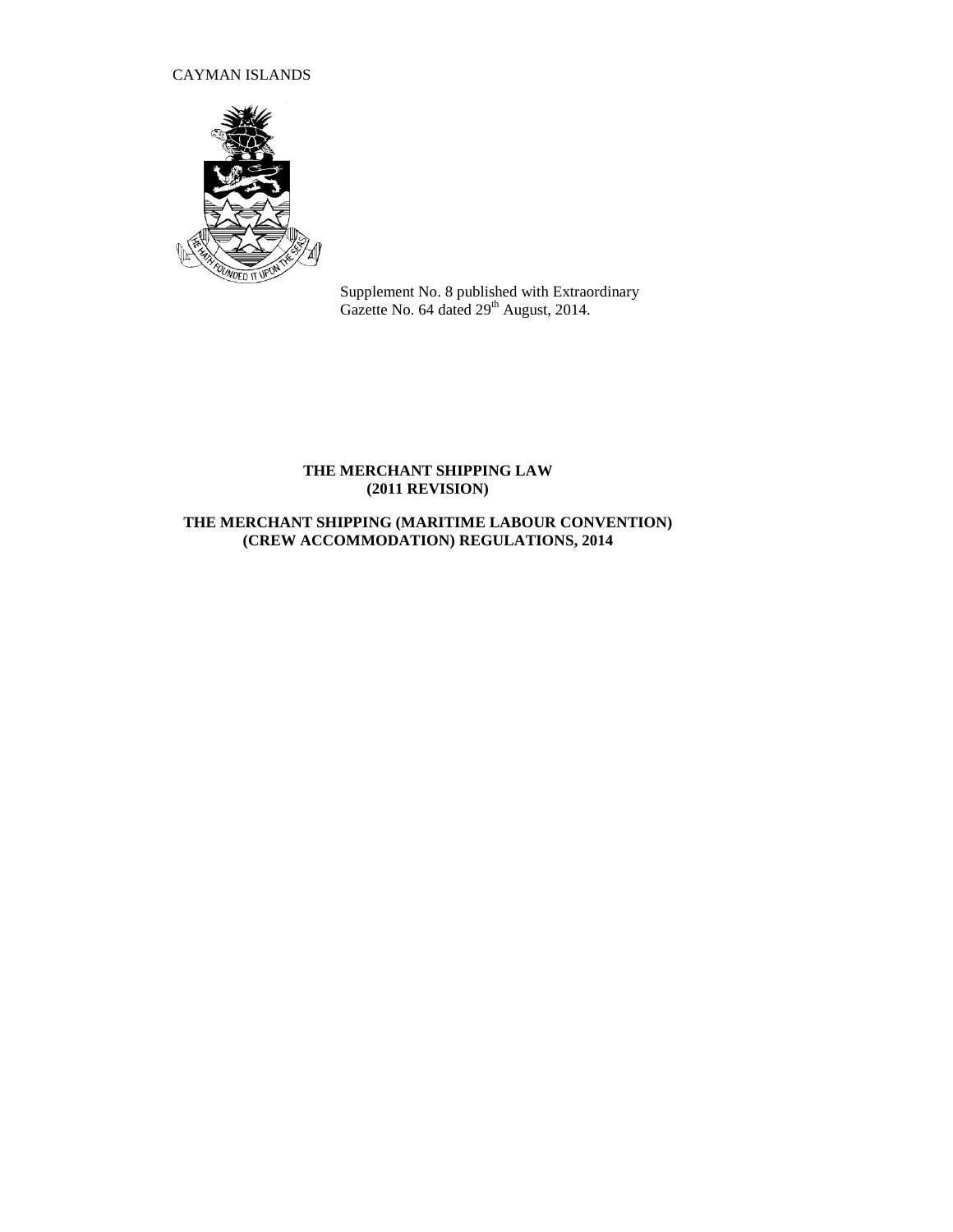# CAYMAN ISLANDS



Supplement No. 8 published with Extraordinary Gazette No. 64 dated  $29<sup>th</sup>$  August, 2014.

# **THE MERCHANT SHIPPING LAW (2011 REVISION)**

# **THE MERCHANT SHIPPING (MARITIME LABOUR CONVENTION) (CREW ACCOMMODATION) REGULATIONS, 2014**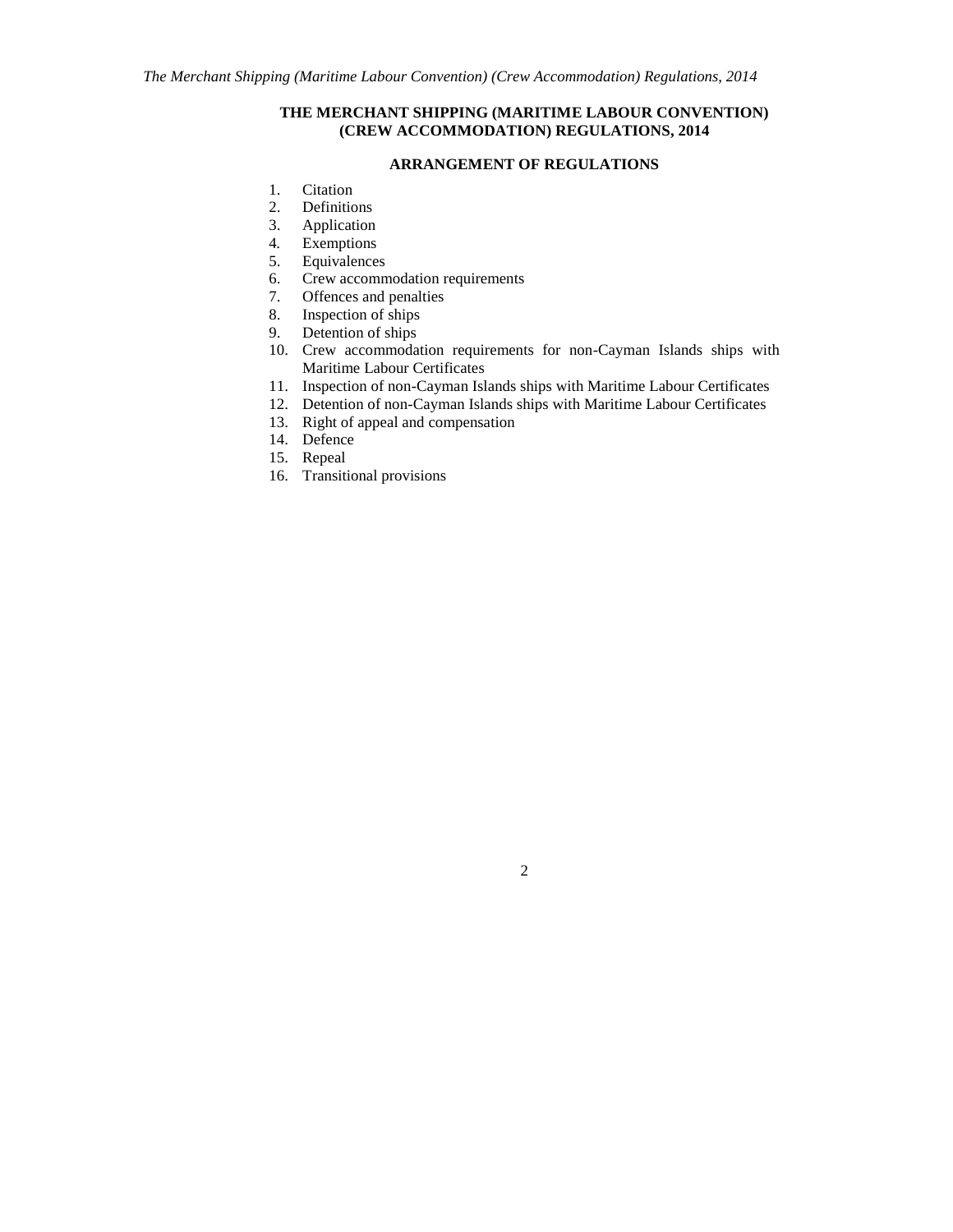## **THE MERCHANT SHIPPING (MARITIME LABOUR CONVENTION) (CREW ACCOMMODATION) REGULATIONS, 2014**

## **ARRANGEMENT OF REGULATIONS**

- 1. Citation
- 2. Definitions
- 3. Application
- 4*.* Exemptions
- 5. Equivalences
- 6. Crew accommodation requirements
- 7. Offences and penalties
- 8. Inspection of ships
- 9. Detention of ships
- 10. Crew accommodation requirements for non-Cayman Islands ships with Maritime Labour Certificates
- 11. Inspection of non-Cayman Islands ships with Maritime Labour Certificates
- 12. Detention of non-Cayman Islands ships with Maritime Labour Certificates
- 13. Right of appeal and compensation
- 14. Defence
- 15. Repeal
- 16. Transitional provisions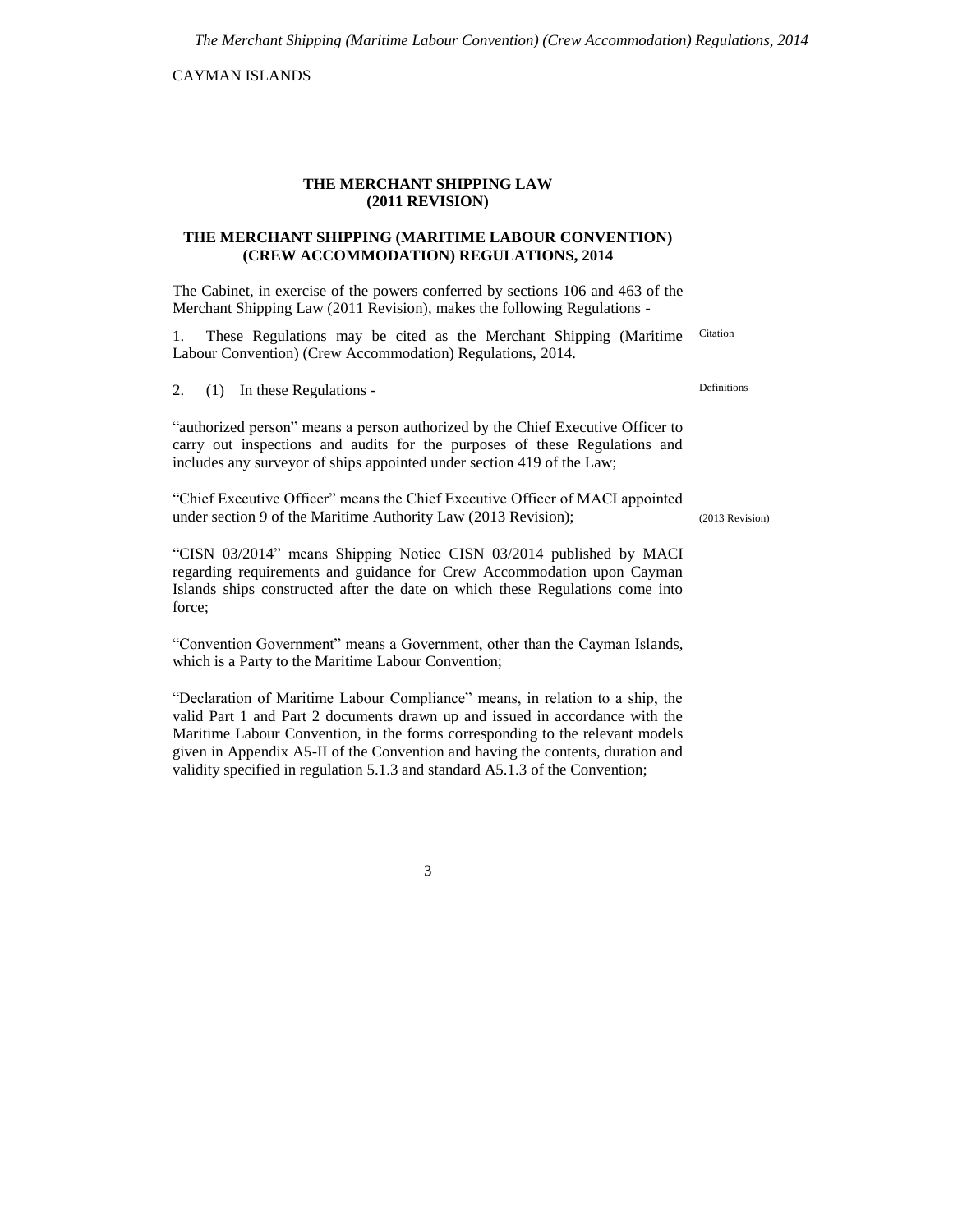CAYMAN ISLANDS

#### **THE MERCHANT SHIPPING LAW (2011 REVISION)**

### **THE MERCHANT SHIPPING (MARITIME LABOUR CONVENTION) (CREW ACCOMMODATION) REGULATIONS, 2014**

The Cabinet, in exercise of the powers conferred by sections 106 and 463 of the Merchant Shipping Law (2011 Revision), makes the following Regulations -

1. These Regulations may be cited as the Merchant Shipping (Maritime Labour Convention) (Crew Accommodation) Regulations, 2014. Citation

2. (1) In these Regulations -

"authorized person" means a person authorized by the Chief Executive Officer to carry out inspections and audits for the purposes of these Regulations and includes any surveyor of ships appointed under section 419 of the Law;

"Chief Executive Officer" means the Chief Executive Officer of MACI appointed under section 9 of the Maritime Authority Law (2013 Revision);

"CISN 03/2014" means Shipping Notice CISN 03/2014 published by MACI regarding requirements and guidance for Crew Accommodation upon Cayman Islands ships constructed after the date on which these Regulations come into force;

"Convention Government" means a Government, other than the Cayman Islands, which is a Party to the Maritime Labour Convention;

"Declaration of Maritime Labour Compliance" means, in relation to a ship, the valid Part 1 and Part 2 documents drawn up and issued in accordance with the Maritime Labour Convention, in the forms corresponding to the relevant models given in Appendix A5-II of the Convention and having the contents, duration and validity specified in regulation 5.1.3 and standard A5.1.3 of the Convention;

Definitions

(2013 Revision)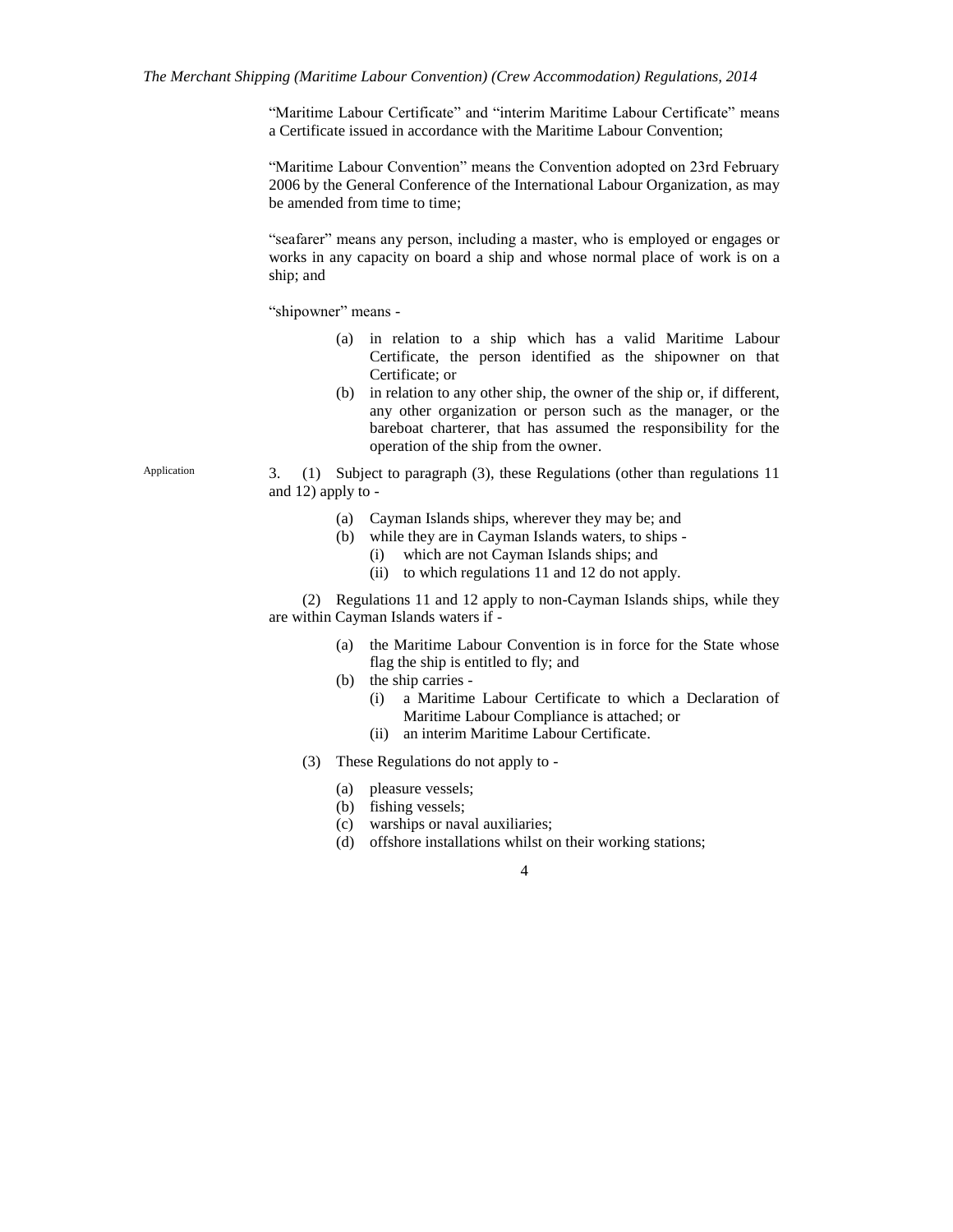"Maritime Labour Certificate" and "interim Maritime Labour Certificate" means a Certificate issued in accordance with the Maritime Labour Convention;

"Maritime Labour Convention" means the Convention adopted on 23rd February 2006 by the General Conference of the International Labour Organization, as may be amended from time to time;

"seafarer" means any person, including a master, who is employed or engages or works in any capacity on board a ship and whose normal place of work is on a ship; and

"shipowner" means -

- (a) in relation to a ship which has a valid Maritime Labour Certificate, the person identified as the shipowner on that Certificate; or
- (b) in relation to any other ship, the owner of the ship or, if different, any other organization or person such as the manager, or the bareboat charterer, that has assumed the responsibility for the operation of the ship from the owner.

3. (1) Subject to paragraph (3), these Regulations (other than regulations 11 and 12) apply to -

- (a) Cayman Islands ships, wherever they may be; and
- (b) while they are in Cayman Islands waters, to ships
	- (i) which are not Cayman Islands ships; and
	- (ii) to which regulations 11 and 12 do not apply.

(2) Regulations 11 and 12 apply to non-Cayman Islands ships, while they are within Cayman Islands waters if -

- (a) the Maritime Labour Convention is in force for the State whose flag the ship is entitled to fly; and
- (b) the ship carries
	- (i) a Maritime Labour Certificate to which a Declaration of Maritime Labour Compliance is attached; or
	- (ii) an interim Maritime Labour Certificate.
- (3) These Regulations do not apply to
	- (a) pleasure vessels;
	- (b) fishing vessels;
	- (c) warships or naval auxiliaries;
	- (d) offshore installations whilst on their working stations;

4

Application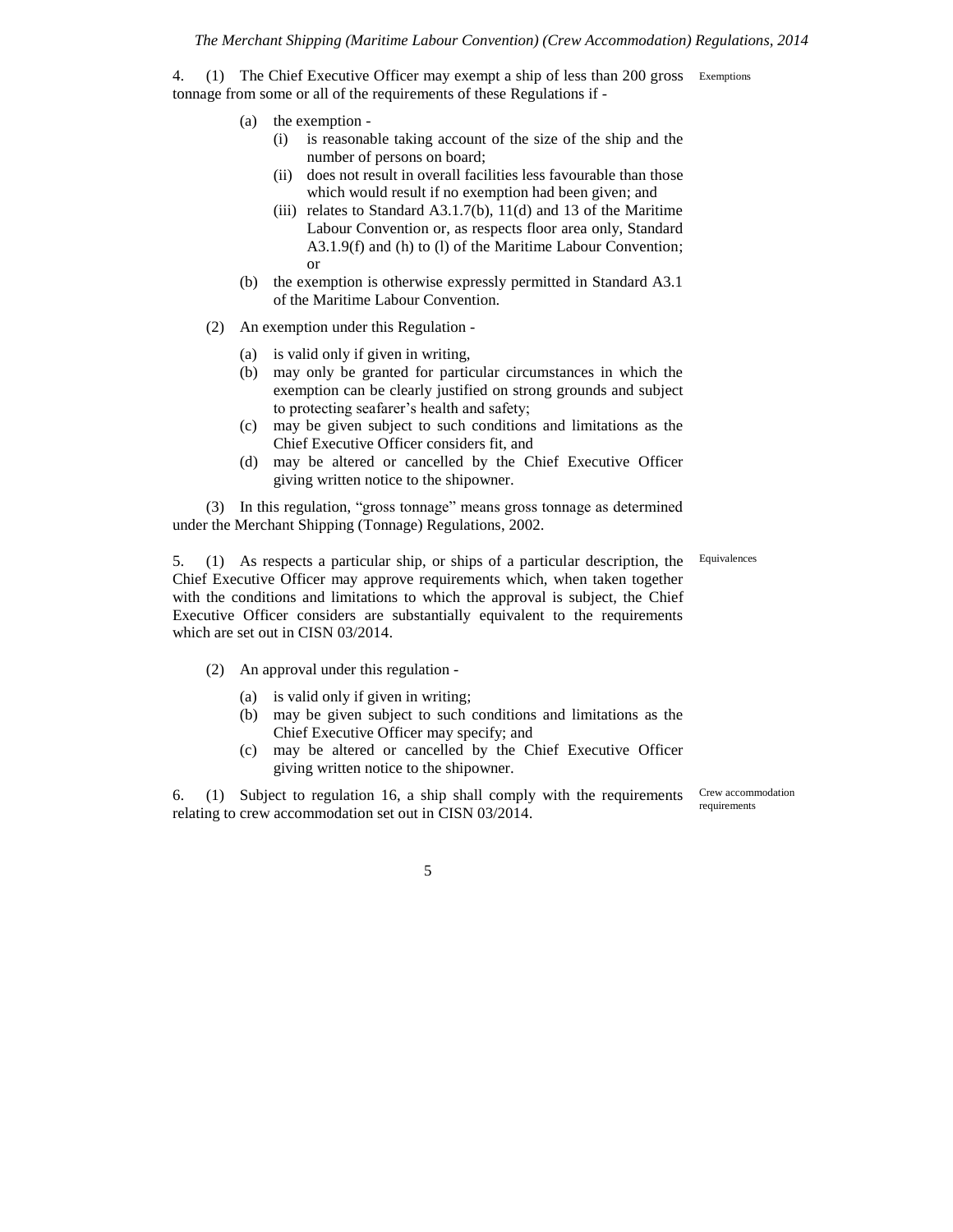#### *The Merchant Shipping (Maritime Labour Convention) (Crew Accommodation) Regulations, 2014*

4. (1) The Chief Executive Officer may exempt a ship of less than 200 gross Exemptions tonnage from some or all of the requirements of these Regulations if -

- (a) the exemption
	- (i) is reasonable taking account of the size of the ship and the number of persons on board;
	- (ii) does not result in overall facilities less favourable than those which would result if no exemption had been given; and
	- (iii) relates to Standard A3.1.7(b),  $11(d)$  and 13 of the Maritime Labour Convention or, as respects floor area only, Standard A3.1.9(f) and (h) to (l) of the Maritime Labour Convention; or
- (b) the exemption is otherwise expressly permitted in Standard A3.1 of the Maritime Labour Convention.
- (2) An exemption under this Regulation
	- (a) is valid only if given in writing,
	- (b) may only be granted for particular circumstances in which the exemption can be clearly justified on strong grounds and subject to protecting seafarer's health and safety;
	- (c) may be given subject to such conditions and limitations as the Chief Executive Officer considers fit, and
	- (d) may be altered or cancelled by the Chief Executive Officer giving written notice to the shipowner.

(3) In this regulation, "gross tonnage" means gross tonnage as determined under the Merchant Shipping (Tonnage) Regulations, 2002.

Equivalences

5. (1) As respects a particular ship, or ships of a particular description, the Chief Executive Officer may approve requirements which, when taken together with the conditions and limitations to which the approval is subject, the Chief Executive Officer considers are substantially equivalent to the requirements which are set out in CISN 03/2014.

- (2) An approval under this regulation
	- (a) is valid only if given in writing;
	- (b) may be given subject to such conditions and limitations as the Chief Executive Officer may specify; and
	- (c) may be altered or cancelled by the Chief Executive Officer giving written notice to the shipowner.

6. (1) Subject to regulation 16, a ship shall comply with the requirements relating to crew accommodation set out in CISN 03/2014.

Crew accommodation requirements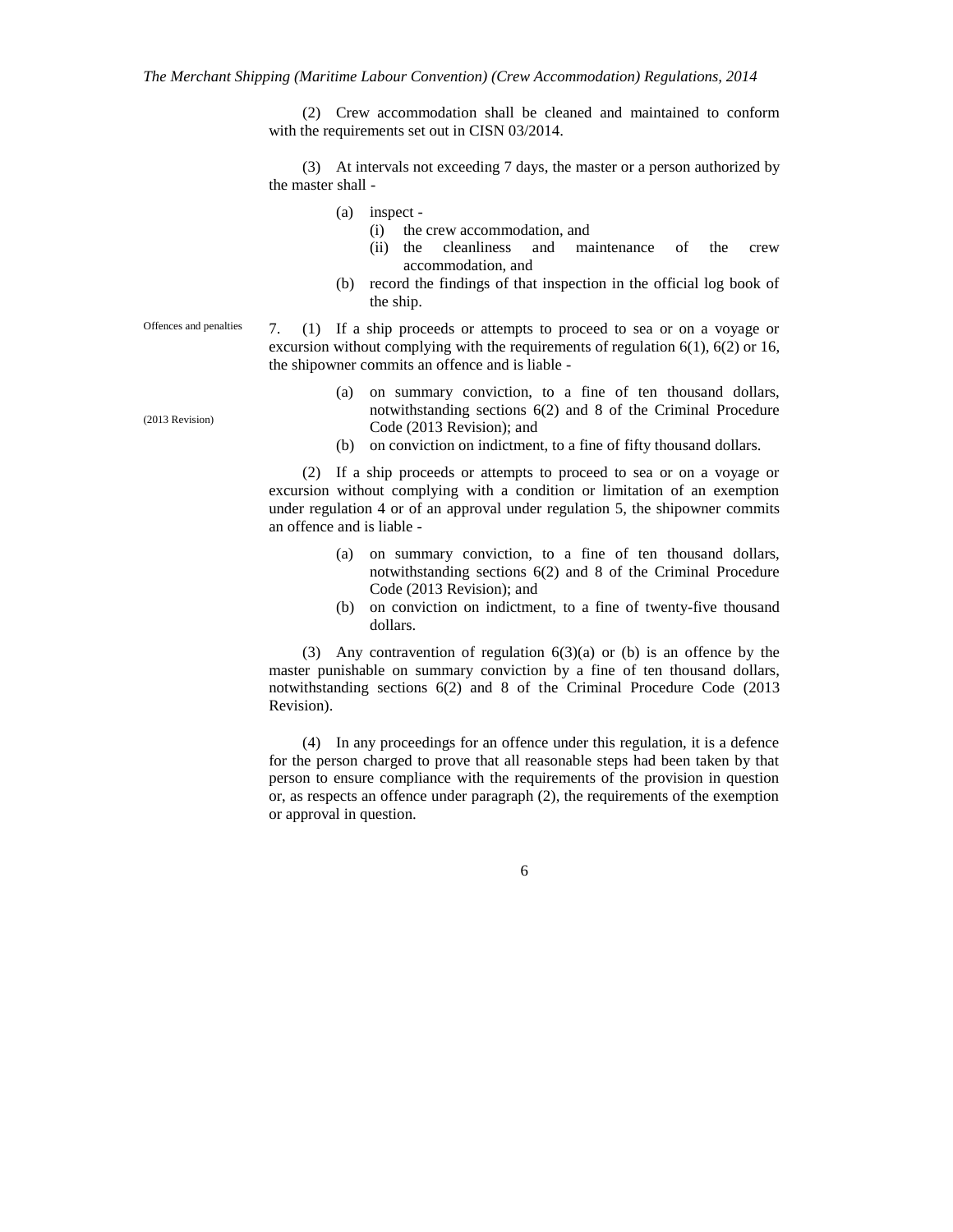(2) Crew accommodation shall be cleaned and maintained to conform with the requirements set out in CISN 03/2014.

(3) At intervals not exceeding 7 days, the master or a person authorized by the master shall -

- (a) inspect
	- (i) the crew accommodation, and
	- (ii) the cleanliness and maintenance of the crew accommodation, and
- (b) record the findings of that inspection in the official log book of the ship.

7. (1) If a ship proceeds or attempts to proceed to sea or on a voyage or excursion without complying with the requirements of regulation 6(1), 6(2) or 16, the shipowner commits an offence and is liable - Offences and penalties

- (a) on summary conviction, to a fine of ten thousand dollars, notwithstanding sections 6(2) and 8 of the Criminal Procedure Code (2013 Revision); and
- (b) on conviction on indictment, to a fine of fifty thousand dollars.

(2) If a ship proceeds or attempts to proceed to sea or on a voyage or excursion without complying with a condition or limitation of an exemption under regulation 4 or of an approval under regulation 5, the shipowner commits an offence and is liable -

- (a) on summary conviction, to a fine of ten thousand dollars, notwithstanding sections 6(2) and 8 of the Criminal Procedure Code (2013 Revision); and
- (b) on conviction on indictment, to a fine of twenty-five thousand dollars.

(3) Any contravention of regulation  $6(3)(a)$  or (b) is an offence by the master punishable on summary conviction by a fine of ten thousand dollars, notwithstanding sections 6(2) and 8 of the Criminal Procedure Code (2013 Revision).

(4) In any proceedings for an offence under this regulation, it is a defence for the person charged to prove that all reasonable steps had been taken by that person to ensure compliance with the requirements of the provision in question or, as respects an offence under paragraph (2), the requirements of the exemption or approval in question.

6

(2013 Revision)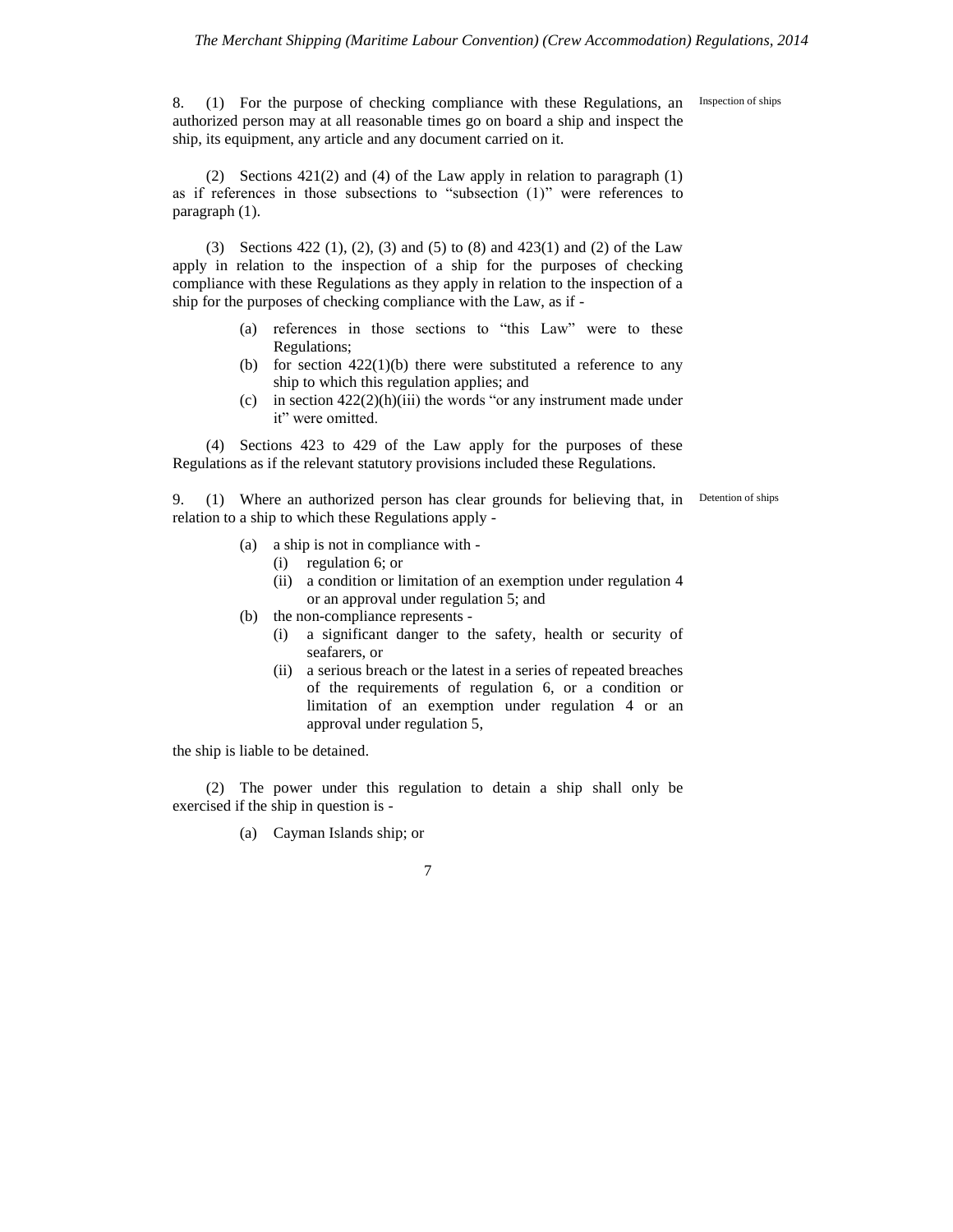8. (1) For the purpose of checking compliance with these Regulations, an authorized person may at all reasonable times go on board a ship and inspect the ship, its equipment, any article and any document carried on it.

Inspection of ships

(2) Sections 421(2) and (4) of the Law apply in relation to paragraph (1) as if references in those subsections to "subsection (1)" were references to paragraph (1).

(3) Sections 422 (1), (2), (3) and (5) to (8) and 423(1) and (2) of the Law apply in relation to the inspection of a ship for the purposes of checking compliance with these Regulations as they apply in relation to the inspection of a ship for the purposes of checking compliance with the Law, as if -

- (a) references in those sections to "this Law" were to these Regulations;
- (b) for section  $422(1)(b)$  there were substituted a reference to any ship to which this regulation applies; and
- (c) in section  $422(2)(h)(iii)$  the words "or any instrument made under it" were omitted.

(4) Sections 423 to 429 of the Law apply for the purposes of these Regulations as if the relevant statutory provisions included these Regulations.

9. (1) Where an authorized person has clear grounds for believing that, in Detention of ships relation to a ship to which these Regulations apply -

- (a) a ship is not in compliance with
	- (i) regulation 6; or
	- (ii) a condition or limitation of an exemption under regulation 4 or an approval under regulation 5; and
- (b) the non-compliance represents
	- (i) a significant danger to the safety, health or security of seafarers, or
	- (ii) a serious breach or the latest in a series of repeated breaches of the requirements of regulation 6, or a condition or limitation of an exemption under regulation 4 or an approval under regulation 5,

the ship is liable to be detained.

(2) The power under this regulation to detain a ship shall only be exercised if the ship in question is -

(a) Cayman Islands ship; or

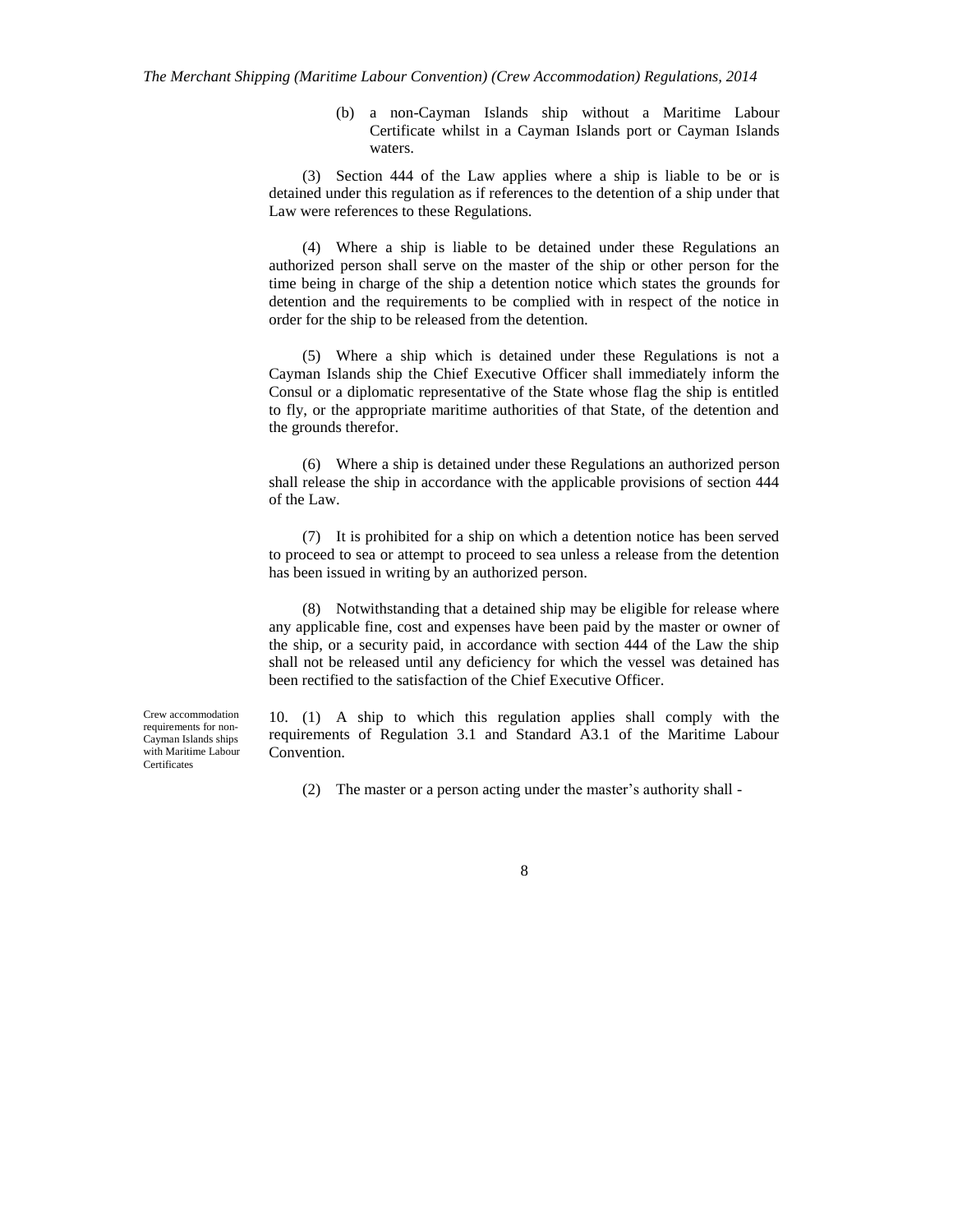(b) a non-Cayman Islands ship without a Maritime Labour Certificate whilst in a Cayman Islands port or Cayman Islands waters.

(3) Section 444 of the Law applies where a ship is liable to be or is detained under this regulation as if references to the detention of a ship under that Law were references to these Regulations.

(4) Where a ship is liable to be detained under these Regulations an authorized person shall serve on the master of the ship or other person for the time being in charge of the ship a detention notice which states the grounds for detention and the requirements to be complied with in respect of the notice in order for the ship to be released from the detention.

(5) Where a ship which is detained under these Regulations is not a Cayman Islands ship the Chief Executive Officer shall immediately inform the Consul or a diplomatic representative of the State whose flag the ship is entitled to fly, or the appropriate maritime authorities of that State, of the detention and the grounds therefor.

(6) Where a ship is detained under these Regulations an authorized person shall release the ship in accordance with the applicable provisions of section 444 of the Law.

(7) It is prohibited for a ship on which a detention notice has been served to proceed to sea or attempt to proceed to sea unless a release from the detention has been issued in writing by an authorized person.

(8) Notwithstanding that a detained ship may be eligible for release where any applicable fine, cost and expenses have been paid by the master or owner of the ship, or a security paid, in accordance with section 444 of the Law the ship shall not be released until any deficiency for which the vessel was detained has been rectified to the satisfaction of the Chief Executive Officer.

Crew accommodation requirements for non-Cayman Islands ships with Maritime Labour Certificates

10. (1) A ship to which this regulation applies shall comply with the requirements of Regulation 3.1 and Standard A3.1 of the Maritime Labour Convention.

(2) The master or a person acting under the master's authority shall -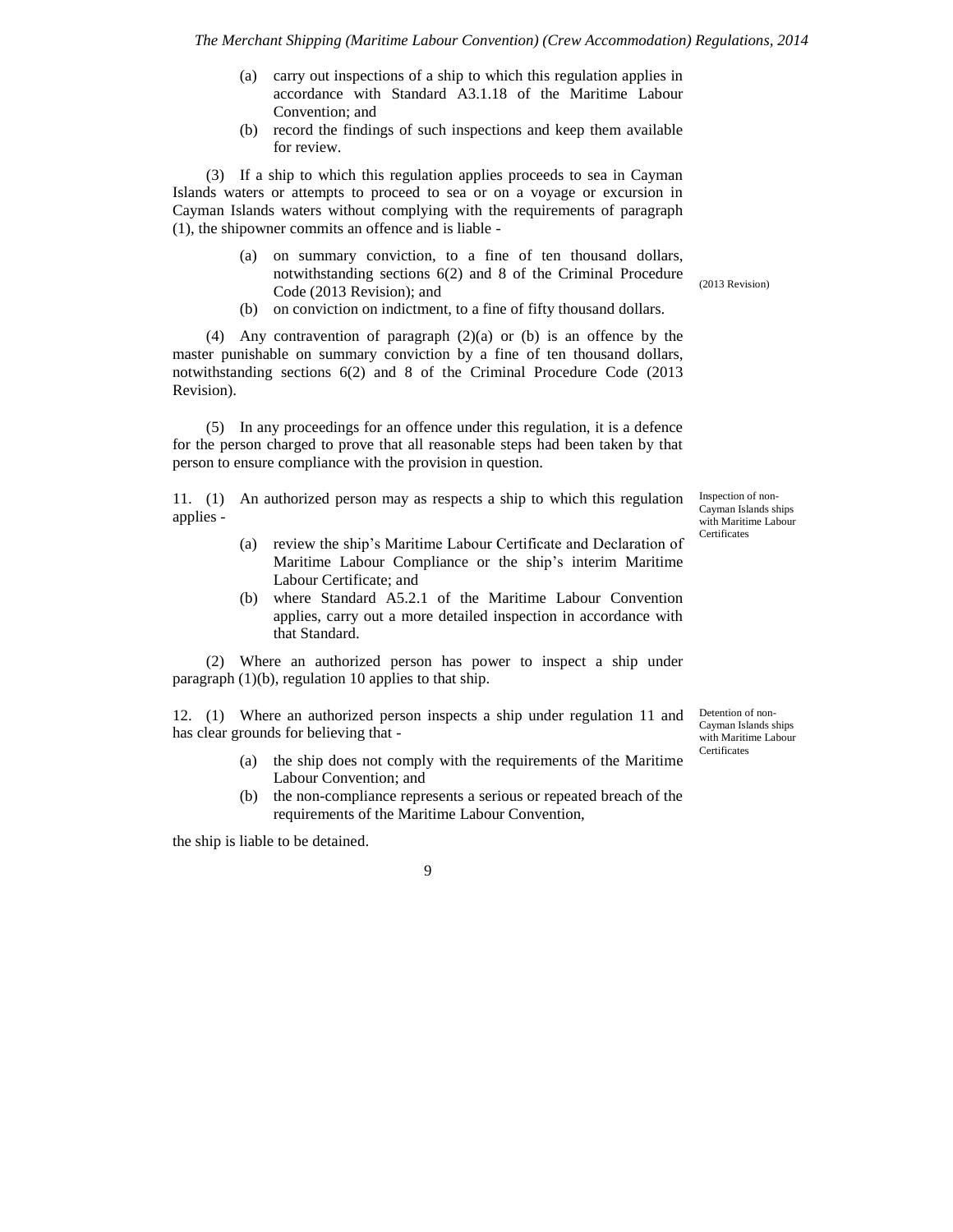- (a) carry out inspections of a ship to which this regulation applies in accordance with Standard A3.1.18 of the Maritime Labour Convention; and
- (b) record the findings of such inspections and keep them available for review.

(3) If a ship to which this regulation applies proceeds to sea in Cayman Islands waters or attempts to proceed to sea or on a voyage or excursion in Cayman Islands waters without complying with the requirements of paragraph (1), the shipowner commits an offence and is liable -

- (a) on summary conviction, to a fine of ten thousand dollars, notwithstanding sections 6(2) and 8 of the Criminal Procedure Code (2013 Revision); and
- (b) on conviction on indictment, to a fine of fifty thousand dollars.

(4) Any contravention of paragraph (2)(a) or (b) is an offence by the master punishable on summary conviction by a fine of ten thousand dollars, notwithstanding sections 6(2) and 8 of the Criminal Procedure Code (2013 Revision).

(5) In any proceedings for an offence under this regulation, it is a defence for the person charged to prove that all reasonable steps had been taken by that person to ensure compliance with the provision in question.

11. (1) An authorized person may as respects a ship to which this regulation applies -

- (a) review the ship's Maritime Labour Certificate and Declaration of Maritime Labour Compliance or the ship's interim Maritime Labour Certificate; and
- (b) where Standard A5.2.1 of the Maritime Labour Convention applies, carry out a more detailed inspection in accordance with that Standard.

(2) Where an authorized person has power to inspect a ship under paragraph  $(1)(b)$ , regulation 10 applies to that ship.

12. (1) Where an authorized person inspects a ship under regulation 11 and has clear grounds for believing that -

- (a) the ship does not comply with the requirements of the Maritime Labour Convention; and
- (b) the non-compliance represents a serious or repeated breach of the requirements of the Maritime Labour Convention,

the ship is liable to be detained.

Inspection of non-Cayman Islands ships with Maritime Labour Certificates

(2013 Revision)

Detention of non-Cayman Islands ships with Maritime Labour **Certificates**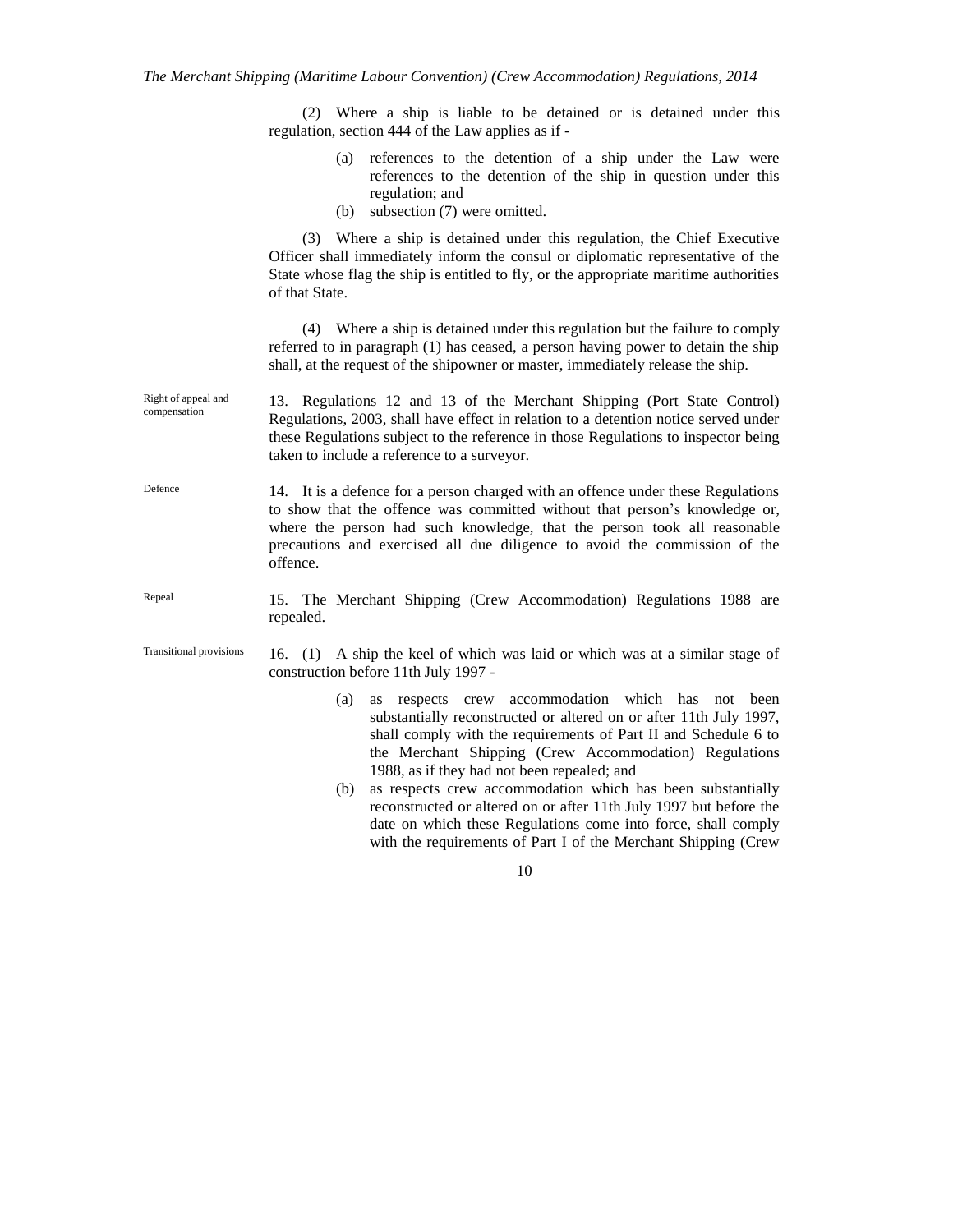(2) Where a ship is liable to be detained or is detained under this regulation, section 444 of the Law applies as if -

- (a) references to the detention of a ship under the Law were references to the detention of the ship in question under this regulation; and
- (b) subsection (7) were omitted.

(3) Where a ship is detained under this regulation, the Chief Executive Officer shall immediately inform the consul or diplomatic representative of the State whose flag the ship is entitled to fly, or the appropriate maritime authorities of that State.

(4) Where a ship is detained under this regulation but the failure to comply referred to in paragraph (1) has ceased, a person having power to detain the ship shall, at the request of the shipowner or master, immediately release the ship.

- 13. Regulations 12 and 13 of the Merchant Shipping (Port State Control) Regulations, 2003, shall have effect in relation to a detention notice served under these Regulations subject to the reference in those Regulations to inspector being taken to include a reference to a surveyor. Right of appeal and compensation
- 14. It is a defence for a person charged with an offence under these Regulations to show that the offence was committed without that person's knowledge or, where the person had such knowledge, that the person took all reasonable precautions and exercised all due diligence to avoid the commission of the offence. Defence
- 15. The Merchant Shipping (Crew Accommodation) Regulations 1988 are repealed. Repeal
- 16. (1) A ship the keel of which was laid or which was at a similar stage of construction before 11th July 1997 - Transitional provisions
	- (a) as respects crew accommodation which has not been substantially reconstructed or altered on or after 11th July 1997, shall comply with the requirements of Part II and Schedule 6 to the Merchant Shipping (Crew Accommodation) Regulations 1988, as if they had not been repealed; and
	- (b) as respects crew accommodation which has been substantially reconstructed or altered on or after 11th July 1997 but before the date on which these Regulations come into force, shall comply with the requirements of Part I of the Merchant Shipping (Crew
		- 10